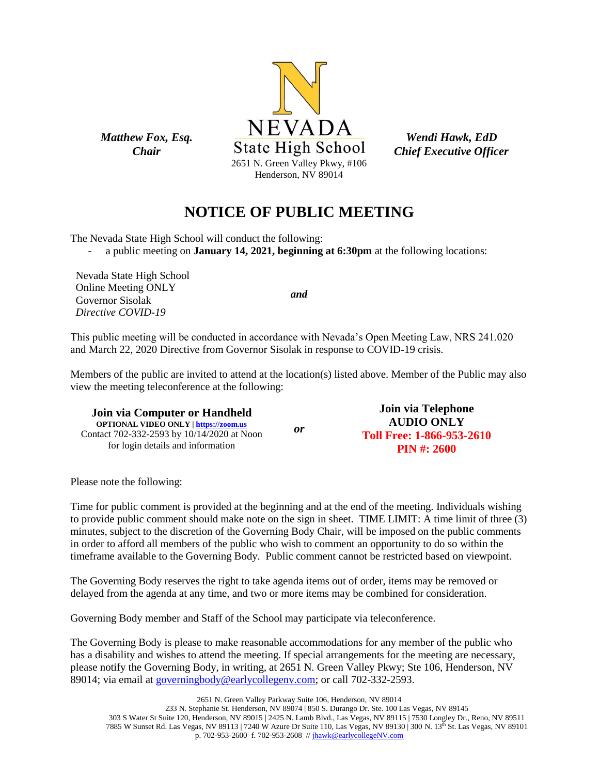

*Wendi Hawk, EdD Chief Executive Officer*

# **NOTICE OF PUBLIC MEETING**

The Nevada State High School will conduct the following:

- a public meeting on **January 14, 2021, beginning at 6:30pm** at the following locations:

Nevada State High School Online Meeting ONLY Governor Sisolak *Directive COVID-19*

*Matthew Fox, Esq. Chair*

*and*

This public meeting will be conducted in accordance with Nevada's Open Meeting Law, NRS 241.020 and March 22, 2020 Directive from Governor Sisolak in response to COVID-19 crisis.

Members of the public are invited to attend at the location(s) listed above. Member of the Public may also view the meeting teleconference at the following:

**Join via Computer or Handheld OPTIONAL VIDEO ONLY [| https://zoom.us](https://zoom.us/)** Contact 702-332-2593 by 10/14/2020 at Noon for login details and information *or* **Join via Telephone AUDIO ONLY Toll Free: 1-866-953-2610 PIN #: 2600**

Please note the following:

Time for public comment is provided at the beginning and at the end of the meeting. Individuals wishing to provide public comment should make note on the sign in sheet. TIME LIMIT: A time limit of three (3) minutes, subject to the discretion of the Governing Body Chair, will be imposed on the public comments in order to afford all members of the public who wish to comment an opportunity to do so within the timeframe available to the Governing Body. Public comment cannot be restricted based on viewpoint.

The Governing Body reserves the right to take agenda items out of order, items may be removed or delayed from the agenda at any time, and two or more items may be combined for consideration.

Governing Body member and Staff of the School may participate via teleconference.

The Governing Body is please to make reasonable accommodations for any member of the public who has a disability and wishes to attend the meeting. If special arrangements for the meeting are necessary, please notify the Governing Body, in writing, at 2651 N. Green Valley Pkwy; Ste 106, Henderson, NV 89014; via email at [governingbody@earlycollegenv.com;](mailto:governingbody@earlycollegenv.com) or call 702-332-2593.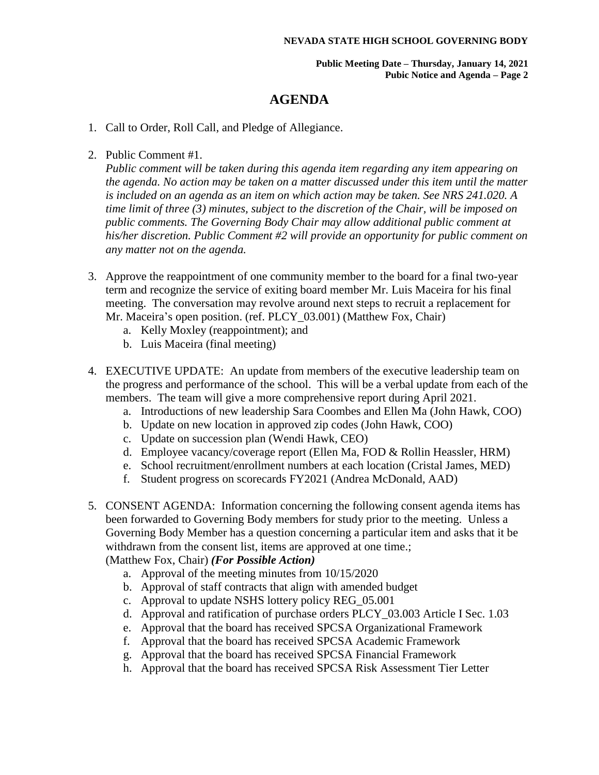**Public Meeting Date – Thursday, January 14, 2021 Pubic Notice and Agenda – Page 2**

### **AGENDA**

- 1. Call to Order, Roll Call, and Pledge of Allegiance.
- 2. Public Comment #1.

*Public comment will be taken during this agenda item regarding any item appearing on the agenda. No action may be taken on a matter discussed under this item until the matter is included on an agenda as an item on which action may be taken. See NRS 241.020. A time limit of three (3) minutes, subject to the discretion of the Chair, will be imposed on public comments. The Governing Body Chair may allow additional public comment at his/her discretion. Public Comment #2 will provide an opportunity for public comment on any matter not on the agenda.*

- 3. Approve the reappointment of one community member to the board for a final two-year term and recognize the service of exiting board member Mr. Luis Maceira for his final meeting. The conversation may revolve around next steps to recruit a replacement for Mr. Maceira's open position. (ref. PLCY 03.001) (Matthew Fox, Chair)
	- a. Kelly Moxley (reappointment); and
	- b. Luis Maceira (final meeting)
- 4. EXECUTIVE UPDATE: An update from members of the executive leadership team on the progress and performance of the school. This will be a verbal update from each of the members. The team will give a more comprehensive report during April 2021.
	- a. Introductions of new leadership Sara Coombes and Ellen Ma (John Hawk, COO)
	- b. Update on new location in approved zip codes (John Hawk, COO)
	- c. Update on succession plan (Wendi Hawk, CEO)
	- d. Employee vacancy/coverage report (Ellen Ma, FOD & Rollin Heassler, HRM)
	- e. School recruitment/enrollment numbers at each location (Cristal James, MED)
	- f. Student progress on scorecards FY2021 (Andrea McDonald, AAD)
- 5. CONSENT AGENDA: Information concerning the following consent agenda items has been forwarded to Governing Body members for study prior to the meeting. Unless a Governing Body Member has a question concerning a particular item and asks that it be withdrawn from the consent list, items are approved at one time.; (Matthew Fox, Chair) *(For Possible Action)*
	- a. Approval of the meeting minutes from 10/15/2020
	- b. Approval of staff contracts that align with amended budget
	- c. Approval to update NSHS lottery policy REG\_05.001
	- d. Approval and ratification of purchase orders PLCY\_03.003 Article I Sec. 1.03
	- e. Approval that the board has received SPCSA Organizational Framework
	- f. Approval that the board has received SPCSA Academic Framework
	- g. Approval that the board has received SPCSA Financial Framework
	- h. Approval that the board has received SPCSA Risk Assessment Tier Letter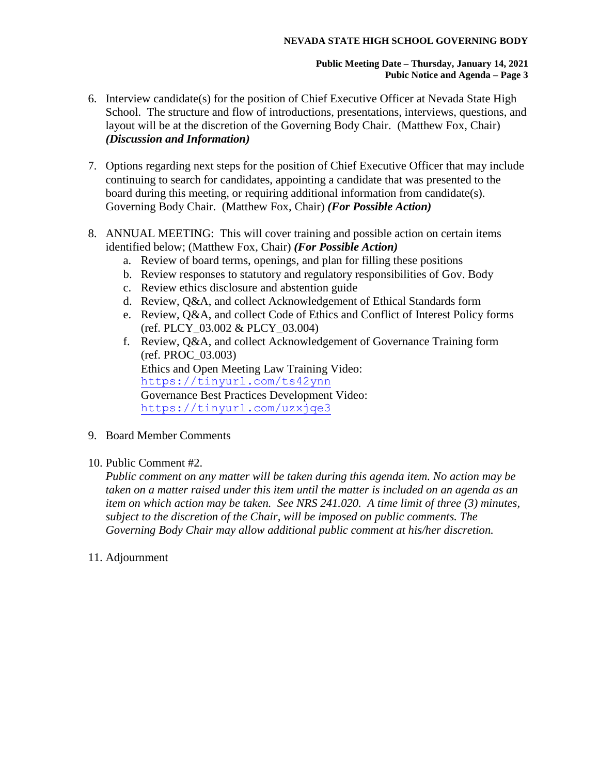#### **NEVADA STATE HIGH SCHOOL GOVERNING BODY**

#### **Public Meeting Date – Thursday, January 14, 2021 Pubic Notice and Agenda – Page 3**

- 6. Interview candidate(s) for the position of Chief Executive Officer at Nevada State High School. The structure and flow of introductions, presentations, interviews, questions, and layout will be at the discretion of the Governing Body Chair. (Matthew Fox, Chair) *(Discussion and Information)*
- 7. Options regarding next steps for the position of Chief Executive Officer that may include continuing to search for candidates, appointing a candidate that was presented to the board during this meeting, or requiring additional information from candidate(s). Governing Body Chair. (Matthew Fox, Chair) *(For Possible Action)*
- 8. ANNUAL MEETING: This will cover training and possible action on certain items identified below; (Matthew Fox, Chair) *(For Possible Action)*
	- a. Review of board terms, openings, and plan for filling these positions
	- b. Review responses to statutory and regulatory responsibilities of Gov. Body
	- c. Review ethics disclosure and abstention guide
	- d. Review, Q&A, and collect Acknowledgement of Ethical Standards form
	- e. Review, Q&A, and collect Code of Ethics and Conflict of Interest Policy forms (ref. PLCY\_03.002 & PLCY\_03.004)
	- f. Review, Q&A, and collect Acknowledgement of Governance Training form (ref. PROC\_03.003) Ethics and Open Meeting Law Training Video: <https://tinyurl.com/ts42ynn> Governance Best Practices Development Video: <https://tinyurl.com/uzxjqe3>
- 9. Board Member Comments
- 10. Public Comment #2.

*Public comment on any matter will be taken during this agenda item. No action may be taken on a matter raised under this item until the matter is included on an agenda as an item on which action may be taken. See NRS 241.020. A time limit of three (3) minutes, subject to the discretion of the Chair, will be imposed on public comments. The Governing Body Chair may allow additional public comment at his/her discretion.*

11. Adjournment